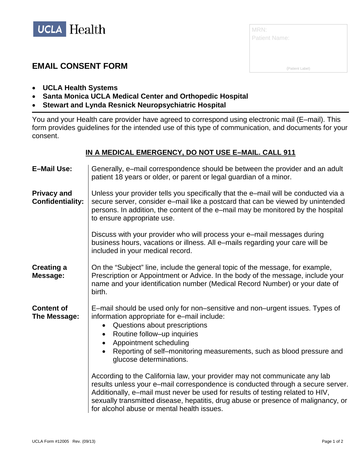

| MRN:<br><b>Patient Name:</b> |  |
|------------------------------|--|
|                              |  |
| (Patient Label)              |  |

## **EMAIL CONSENT FORM**

- **UCLA Health Systems**
- **Santa Monica UCLA Medical Center and Orthopedic Hospital**
- **Stewart and Lynda Resnick Neuropsychiatric Hospital**

You and your Health care provider have agreed to correspond using electronic mail (E–mail). This form provides guidelines for the intended use of this type of communication, and documents for your consent.

## **IN A MEDICAL EMERGENCY, DO NOT USE E–MAIL. CALL 911**

| <b>E-Mail Use:</b>                            | Generally, e–mail correspondence should be between the provider and an adult<br>patient 18 years or older, or parent or legal guardian of a minor.                                                                                                                                                                                                                                                                                                                                                                                                                                                                                                                                                                           |
|-----------------------------------------------|------------------------------------------------------------------------------------------------------------------------------------------------------------------------------------------------------------------------------------------------------------------------------------------------------------------------------------------------------------------------------------------------------------------------------------------------------------------------------------------------------------------------------------------------------------------------------------------------------------------------------------------------------------------------------------------------------------------------------|
| <b>Privacy and</b><br><b>Confidentiality:</b> | Unless your provider tells you specifically that the e-mail will be conducted via a<br>secure server, consider e-mail like a postcard that can be viewed by unintended<br>persons. In addition, the content of the e-mail may be monitored by the hospital<br>to ensure appropriate use.                                                                                                                                                                                                                                                                                                                                                                                                                                     |
|                                               | Discuss with your provider who will process your e-mail messages during<br>business hours, vacations or illness. All e-mails regarding your care will be<br>included in your medical record.                                                                                                                                                                                                                                                                                                                                                                                                                                                                                                                                 |
| <b>Creating a</b><br>Message:                 | On the "Subject" line, include the general topic of the message, for example,<br>Prescription or Appointment or Advice. In the body of the message, include your<br>name and your identification number (Medical Record Number) or your date of<br>birth.                                                                                                                                                                                                                                                                                                                                                                                                                                                                    |
| <b>Content of</b><br>The Message:             | E-mail should be used only for non-sensitive and non-urgent issues. Types of<br>information appropriate for e-mail include:<br>Questions about prescriptions<br>Routine follow-up inquiries<br>Appointment scheduling<br>$\bullet$<br>Reporting of self-monitoring measurements, such as blood pressure and<br>glucose determinations.<br>According to the California law, your provider may not communicate any lab<br>results unless your e-mail correspondence is conducted through a secure server.<br>Additionally, e-mail must never be used for results of testing related to HIV,<br>sexually transmitted disease, hepatitis, drug abuse or presence of malignancy, or<br>for alcohol abuse or mental health issues. |